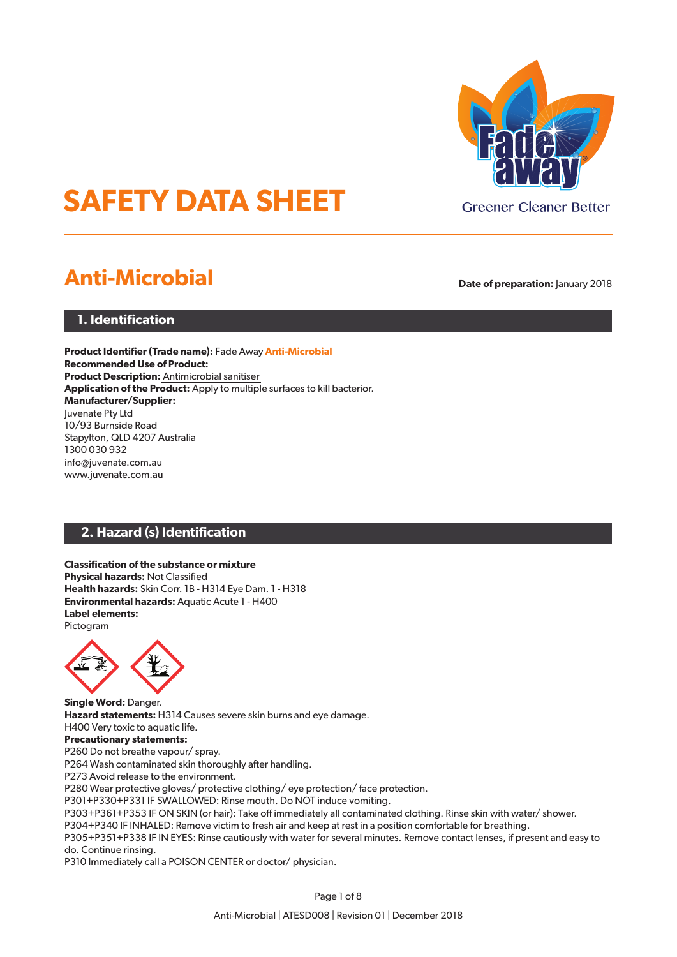

# **SAFETY DATA SHEET**

## **Anti-Microbial Date of preparation:** January 2018

## **1. Identification**

**Product Identifier (Trade name):** Fade Away **Anti-Microbial Recommended Use of Product: Product Description:** Antimicrobial sanitiser **Application of the Product:** Apply to multiple surfaces to kill bacterior. **Manufacturer/Supplier:** Juvenate Pty Ltd 10/93 Burnside Road Stapylton, QLD 4207 Australia 1300 030 932 info@juvenate.com.au www.juvenate.com.au

## **2. Hazard (s) Identification**

#### **Classification of the substance or mixture Physical hazards:** Not Classified **Health hazards:** Skin Corr. 1B - H314 Eye Dam. 1 - H318 **Environmental hazards:** Aquatic Acute 1 - H400 **Label elements:** Pictogram



**Single Word:** Danger. **Hazard statements:** H314 Causes severe skin burns and eye damage. H400 Very toxic to aquatic life.

## **Precautionary statements:**

P260 Do not breathe vapour/ spray.

P264 Wash contaminated skin thoroughly after handling.

P273 Avoid release to the environment.

P280 Wear protective gloves/ protective clothing/ eye protection/ face protection.

P301+P330+P331 IF SWALLOWED: Rinse mouth. Do NOT induce vomiting.

P303+P361+P353 IF ON SKIN (or hair): Take off immediately all contaminated clothing. Rinse skin with water/ shower.

P304+P340 IF INHALED: Remove victim to fresh air and keep at rest in a position comfortable for breathing.

P305+P351+P338 IF IN EYES: Rinse cautiously with water for several minutes. Remove contact lenses, if present and easy to do. Continue rinsing.

P310 Immediately call a POISON CENTER or doctor/ physician.

Page 1 of 8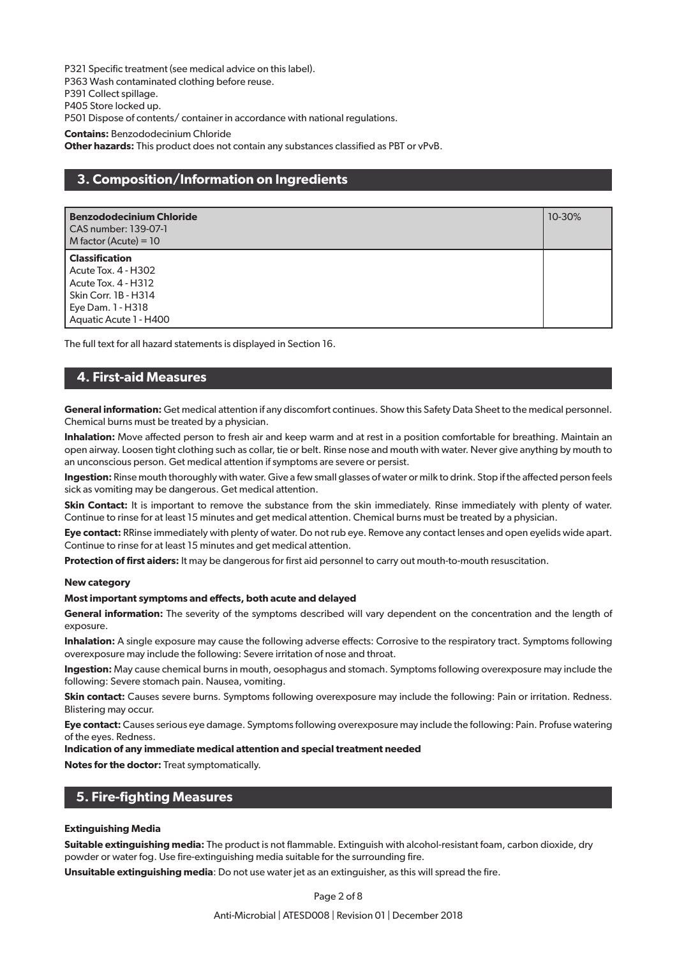P321 Specific treatment (see medical advice on this label).

P363 Wash contaminated clothing before reuse.

P391 Collect spillage.

P405 Store locked up.

P501 Dispose of contents/ container in accordance with national regulations.

**Contains:** Benzododecinium Chloride

**Other hazards:** This product does not contain any substances classified as PBT or vPvB.

## **3. Composition/Information on Ingredients**

| <b>Benzododecinium Chloride</b><br>CAS number: 139-07-1<br>M factor (Acute) = $10$                                                         | 10-30% |
|--------------------------------------------------------------------------------------------------------------------------------------------|--------|
| <b>Classification</b><br>Acute Tox. 4 - H302<br>Acute Tox. 4 - H312<br>Skin Corr. 1B - H314<br>Eye Dam. 1 - H318<br>Aquatic Acute 1 - H400 |        |

The full text for all hazard statements is displayed in Section 16.

## **4. First-aid Measures**

**General information:** Get medical attention if any discomfort continues. Show this Safety Data Sheet to the medical personnel. Chemical burns must be treated by a physician.

**Inhalation:** Move affected person to fresh air and keep warm and at rest in a position comfortable for breathing. Maintain an open airway. Loosen tight clothing such as collar, tie or belt. Rinse nose and mouth with water. Never give anything by mouth to an unconscious person. Get medical attention if symptoms are severe or persist.

**Ingestion:** Rinse mouth thoroughly with water. Give a few small glasses of water or milk to drink. Stop if the affected person feels sick as vomiting may be dangerous. Get medical attention.

**Skin Contact:** It is important to remove the substance from the skin immediately. Rinse immediately with plenty of water. Continue to rinse for at least 15 minutes and get medical attention. Chemical burns must be treated by a physician.

**Eye contact:** RRinse immediately with plenty of water. Do not rub eye. Remove any contact lenses and open eyelids wide apart. Continue to rinse for at least 15 minutes and get medical attention.

**Protection of first aiders:** It may be dangerous for first aid personnel to carry out mouth-to-mouth resuscitation.

#### **New category**

#### **Most important symptoms and effects, both acute and delayed**

**General information:** The severity of the symptoms described will vary dependent on the concentration and the length of exposure.

**Inhalation:** A single exposure may cause the following adverse effects: Corrosive to the respiratory tract. Symptoms following overexposure may include the following: Severe irritation of nose and throat.

**Ingestion:** May cause chemical burns in mouth, oesophagus and stomach. Symptoms following overexposure may include the following: Severe stomach pain. Nausea, vomiting.

**Skin contact:** Causes severe burns. Symptoms following overexposure may include the following: Pain or irritation. Redness. Blistering may occur.

**Eye contact:** Causes serious eye damage. Symptoms following overexposure may include the following: Pain. Profuse watering of the eyes. Redness.

#### **Indication of any immediate medical attention and special treatment needed**

**Notes for the doctor:** Treat symptomatically.

## **5. Fire-fighting Measures**

#### **Extinguishing Media**

**Suitable extinguishing media:** The product is not flammable. Extinguish with alcohol-resistant foam, carbon dioxide, dry powder or water fog. Use fire-extinguishing media suitable for the surrounding fire.

**Unsuitable extinguishing media**: Do not use water jet as an extinguisher, as this will spread the fire.

#### Page 2 of 8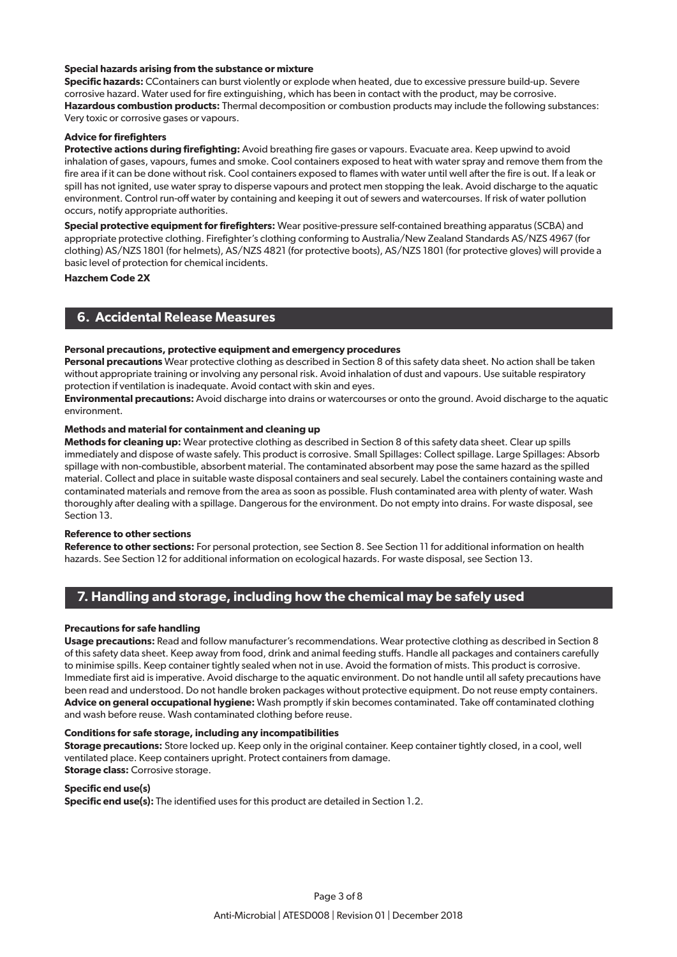#### **Special hazards arising from the substance or mixture**

**Specific hazards:** CContainers can burst violently or explode when heated, due to excessive pressure build-up. Severe corrosive hazard. Water used for fire extinguishing, which has been in contact with the product, may be corrosive. **Hazardous combustion products:** Thermal decomposition or combustion products may include the following substances: Very toxic or corrosive gases or vapours.

#### **Advice for firefighters**

**Protective actions during firefighting:** Avoid breathing fire gases or vapours. Evacuate area. Keep upwind to avoid inhalation of gases, vapours, fumes and smoke. Cool containers exposed to heat with water spray and remove them from the fire area if it can be done without risk. Cool containers exposed to flames with water until well after the fire is out. If a leak or spill has not ignited, use water spray to disperse vapours and protect men stopping the leak. Avoid discharge to the aquatic environment. Control run-off water by containing and keeping it out of sewers and watercourses. If risk of water pollution occurs, notify appropriate authorities.

**Special protective equipment for firefighters:** Wear positive-pressure self-contained breathing apparatus (SCBA) and appropriate protective clothing. Firefighter's clothing conforming to Australia/New Zealand Standards AS/NZS 4967 (for clothing) AS/NZS 1801 (for helmets), AS/NZS 4821 (for protective boots), AS/NZS 1801 (for protective gloves) will provide a basic level of protection for chemical incidents.

**Hazchem Code 2X**

## **6. Accidental Release Measures**

#### **Personal precautions, protective equipment and emergency procedures**

**Personal precautions** Wear protective clothing as described in Section 8 of this safety data sheet. No action shall be taken without appropriate training or involving any personal risk. Avoid inhalation of dust and vapours. Use suitable respiratory protection if ventilation is inadequate. Avoid contact with skin and eyes.

**Environmental precautions:** Avoid discharge into drains or watercourses or onto the ground. Avoid discharge to the aquatic environment.

#### **Methods and material for containment and cleaning up**

**Methods for cleaning up:** Wear protective clothing as described in Section 8 of this safety data sheet. Clear up spills immediately and dispose of waste safely. This product is corrosive. Small Spillages: Collect spillage. Large Spillages: Absorb spillage with non-combustible, absorbent material. The contaminated absorbent may pose the same hazard as the spilled material. Collect and place in suitable waste disposal containers and seal securely. Label the containers containing waste and contaminated materials and remove from the area as soon as possible. Flush contaminated area with plenty of water. Wash thoroughly after dealing with a spillage. Dangerous for the environment. Do not empty into drains. For waste disposal, see Section 13.

#### **Reference to other sections**

**Reference to other sections:** For personal protection, see Section 8. See Section 11 for additional information on health hazards. See Section 12 for additional information on ecological hazards. For waste disposal, see Section 13.

## **7. Handling and storage, including how the chemical may be safely used**

#### **Precautions for safe handling**

**Usage precautions:** Read and follow manufacturer's recommendations. Wear protective clothing as described in Section 8 of this safety data sheet. Keep away from food, drink and animal feeding stuffs. Handle all packages and containers carefully to minimise spills. Keep container tightly sealed when not in use. Avoid the formation of mists. This product is corrosive. Immediate first aid is imperative. Avoid discharge to the aquatic environment. Do not handle until all safety precautions have been read and understood. Do not handle broken packages without protective equipment. Do not reuse empty containers. **Advice on general occupational hygiene:** Wash promptly if skin becomes contaminated. Take off contaminated clothing and wash before reuse. Wash contaminated clothing before reuse.

#### **Conditions for safe storage, including any incompatibilities**

**Storage precautions:** Store locked up. Keep only in the original container. Keep container tightly closed, in a cool, well ventilated place. Keep containers upright. Protect containers from damage.

**Storage class:** Corrosive storage.

**Specific end use(s) Specific end use(s):** The identified uses for this product are detailed in Section 1.2.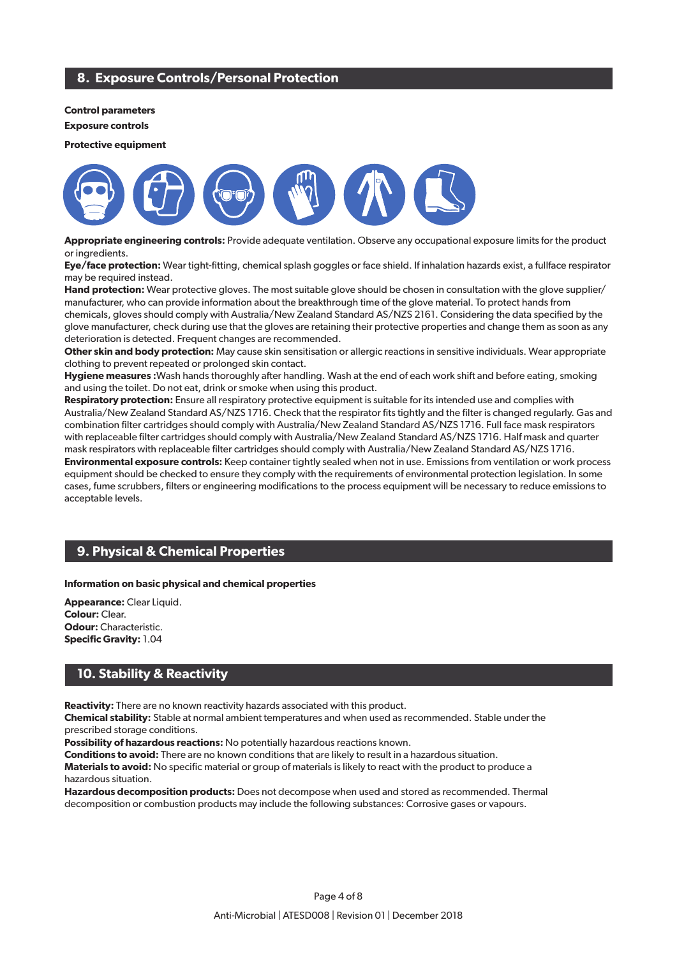## **8. Exposure Controls/Personal Protection**

#### **Control parameters**

**Exposure controls**

**Protective equipment**



**Appropriate engineering controls:** Provide adequate ventilation. Observe any occupational exposure limits for the product or ingredients.

**Eye/face protection:** Wear tight-fitting, chemical splash goggles or face shield. If inhalation hazards exist, a fullface respirator may be required instead.

**Hand protection:** Wear protective gloves. The most suitable glove should be chosen in consultation with the glove supplier/ manufacturer, who can provide information about the breakthrough time of the glove material. To protect hands from chemicals, gloves should comply with Australia/New Zealand Standard AS/NZS 2161. Considering the data specified by the glove manufacturer, check during use that the gloves are retaining their protective properties and change them as soon as any deterioration is detected. Frequent changes are recommended.

**Other skin and body protection:** May cause skin sensitisation or allergic reactions in sensitive individuals. Wear appropriate clothing to prevent repeated or prolonged skin contact.

**Hygiene measures :**Wash hands thoroughly after handling. Wash at the end of each work shift and before eating, smoking and using the toilet. Do not eat, drink or smoke when using this product.

**Respiratory protection:** Ensure all respiratory protective equipment is suitable for its intended use and complies with Australia/New Zealand Standard AS/NZS 1716. Check that the respirator fits tightly and the filter is changed regularly. Gas and combination filter cartridges should comply with Australia/New Zealand Standard AS/NZS 1716. Full face mask respirators with replaceable filter cartridges should comply with Australia/New Zealand Standard AS/NZS 1716. Half mask and quarter mask respirators with replaceable filter cartridges should comply with Australia/New Zealand Standard AS/NZS 1716. **Environmental exposure controls:** Keep container tightly sealed when not in use. Emissions from ventilation or work process equipment should be checked to ensure they comply with the requirements of environmental protection legislation. In some cases, fume scrubbers, filters or engineering modifications to the process equipment will be necessary to reduce emissions to acceptable levels.

## **9. Physical & Chemical Properties**

#### **Information on basic physical and chemical properties**

**Appearance:** Clear Liquid. **Colour:** Clear. **Odour: Characteristic. Specific Gravity:** 1.04

## **10. Stability & Reactivity**

**Reactivity:** There are no known reactivity hazards associated with this product.

**Chemical stability:** Stable at normal ambient temperatures and when used as recommended. Stable under the prescribed storage conditions.

**Possibility of hazardous reactions:** No potentially hazardous reactions known.

**Conditions to avoid:** There are no known conditions that are likely to result in a hazardous situation. **Materials to avoid:** No specific material or group of materials is likely to react with the product to produce a hazardous situation.

**Hazardous decomposition products:** Does not decompose when used and stored as recommended. Thermal decomposition or combustion products may include the following substances: Corrosive gases or vapours.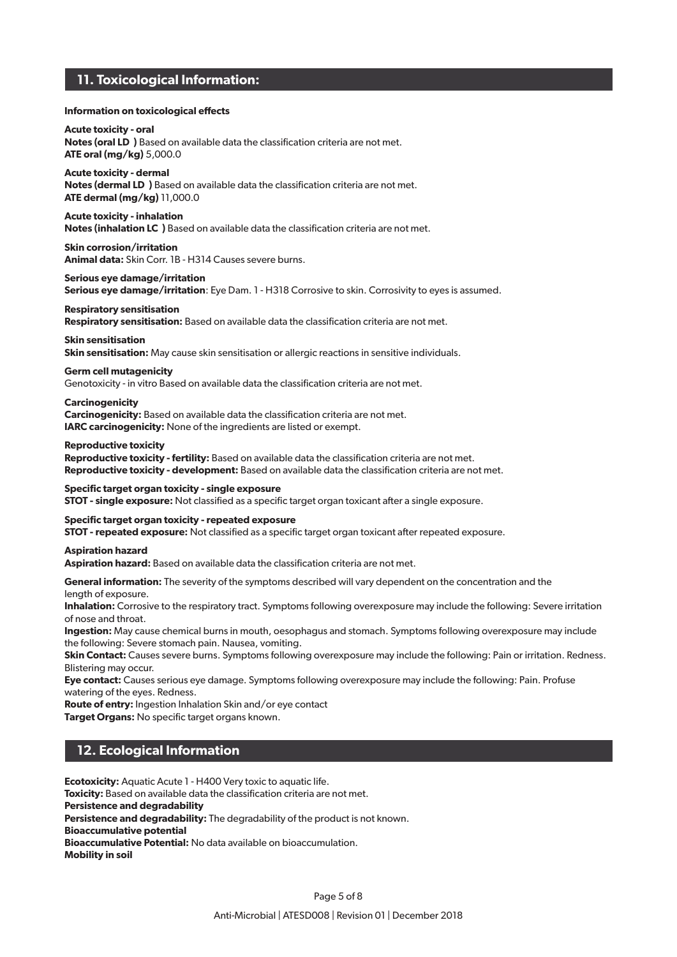## **11. Toxicological Information:**

#### **Information on toxicological effects**

**Acute toxicity - oral Notes (oral LD₅ )** Based on available data the classification criteria are not met. **ATE oral (mg/kg)** 5,000.0

**Acute toxicity - dermal Notes (dermal LD**) Based on available data the classification criteria are not met. **ATE dermal (mg/kg)** 11,000.0

**Acute toxicity - inhalation Notes (inhalation LC**) Based on available data the classification criteria are not met.

**Skin corrosion/irritation Animal data:** Skin Corr. 1B - H314 Causes severe burns.

**Serious eye damage/irritation**

**Serious eye damage/irritation**: Eye Dam. 1 - H318 Corrosive to skin. Corrosivity to eyes is assumed.

#### **Respiratory sensitisation Respiratory sensitisation:** Based on available data the classification criteria are not met.

**Skin sensitisation**

**Skin sensitisation:** May cause skin sensitisation or allergic reactions in sensitive individuals.

#### **Germ cell mutagenicity**

Genotoxicity - in vitro Based on available data the classification criteria are not met.

#### **Carcinogenicity**

**Carcinogenicity:** Based on available data the classification criteria are not met. **IARC carcinogenicity:** None of the ingredients are listed or exempt.

#### **Reproductive toxicity**

**Reproductive toxicity - fertility:** Based on available data the classification criteria are not met. **Reproductive toxicity - development:** Based on available data the classification criteria are not met.

#### **Specific target organ toxicity - single exposure**

**STOT - single exposure:** Not classified as a specific target organ toxicant after a single exposure.

#### **Specific target organ toxicity - repeated exposure**

**STOT - repeated exposure:** Not classified as a specific target organ toxicant after repeated exposure.

#### **Aspiration hazard**

**Aspiration hazard:** Based on available data the classification criteria are not met.

**General information:** The severity of the symptoms described will vary dependent on the concentration and the

length of exposure.

**Inhalation:** Corrosive to the respiratory tract. Symptoms following overexposure may include the following: Severe irritation of nose and throat.

**Ingestion:** May cause chemical burns in mouth, oesophagus and stomach. Symptoms following overexposure may include the following: Severe stomach pain. Nausea, vomiting.

**Skin Contact:** Causes severe burns. Symptoms following overexposure may include the following: Pain or irritation. Redness. Blistering may occur.

**Eye contact:** Causes serious eye damage. Symptoms following overexposure may include the following: Pain. Profuse watering of the eyes. Redness.

**Route of entry:** Ingestion Inhalation Skin and/or eye contact **Target Organs: No specific target organs known.** 

## **12. Ecological Information**

**Ecotoxicity:** Aquatic Acute 1 - H400 Very toxic to aquatic life. **Toxicity:** Based on available data the classification criteria are not met. **Persistence and degradability Persistence and degradability:** The degradability of the product is not known. **Bioaccumulative potential Bioaccumulative Potential:** No data available on bioaccumulation. **Mobility in soil**

Page 5 of 8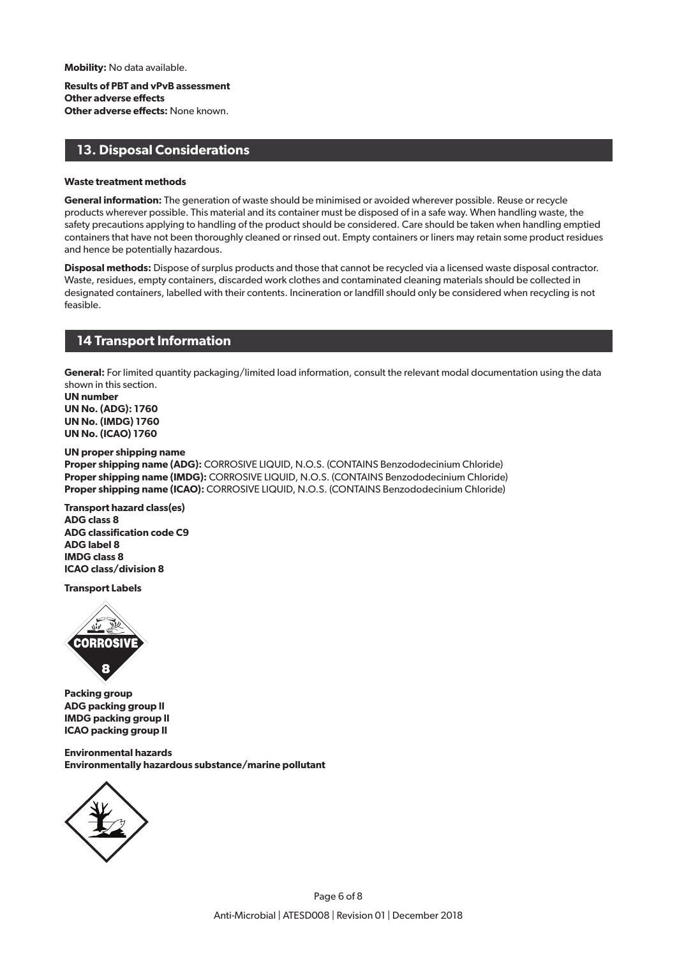**Mobility:** No data available.

**Results of PBT and vPvB assessment Other adverse effects Other adverse effects:** None known.

## **13. Disposal Considerations**

#### **Waste treatment methods**

**General information:** The generation of waste should be minimised or avoided wherever possible. Reuse or recycle products wherever possible. This material and its container must be disposed of in a safe way. When handling waste, the safety precautions applying to handling of the product should be considered. Care should be taken when handling emptied containers that have not been thoroughly cleaned or rinsed out. Empty containers or liners may retain some product residues and hence be potentially hazardous.

**Disposal methods:** Dispose of surplus products and those that cannot be recycled via a licensed waste disposal contractor. Waste, residues, empty containers, discarded work clothes and contaminated cleaning materials should be collected in designated containers, labelled with their contents. Incineration or landfill should only be considered when recycling is not feasible.

## **14 Transport Information**

**General:** For limited quantity packaging/limited load information, consult the relevant modal documentation using the data shown in this section.

**UN number UN No. (ADG): 1760 UN No. (IMDG) 1760 UN No. (ICAO) 1760**

#### **UN proper shipping name**

**Proper shipping name (ADG):** CORROSIVE LIQUID, N.O.S. (CONTAINS Benzododecinium Chloride) **Proper shipping name (IMDG):** CORROSIVE LIQUID, N.O.S. (CONTAINS Benzododecinium Chloride) **Proper shipping name (ICAO):** CORROSIVE LIQUID, N.O.S. (CONTAINS Benzododecinium Chloride)

**Transport hazard class(es) ADG class 8 ADG classification code C9 ADG label 8 IMDG class 8 ICAO class/division 8**

**Transport Labels**



**Packing group ADG packing group II IMDG packing group II ICAO packing group II**

**Environmental hazards Environmentally hazardous substance/marine pollutant**

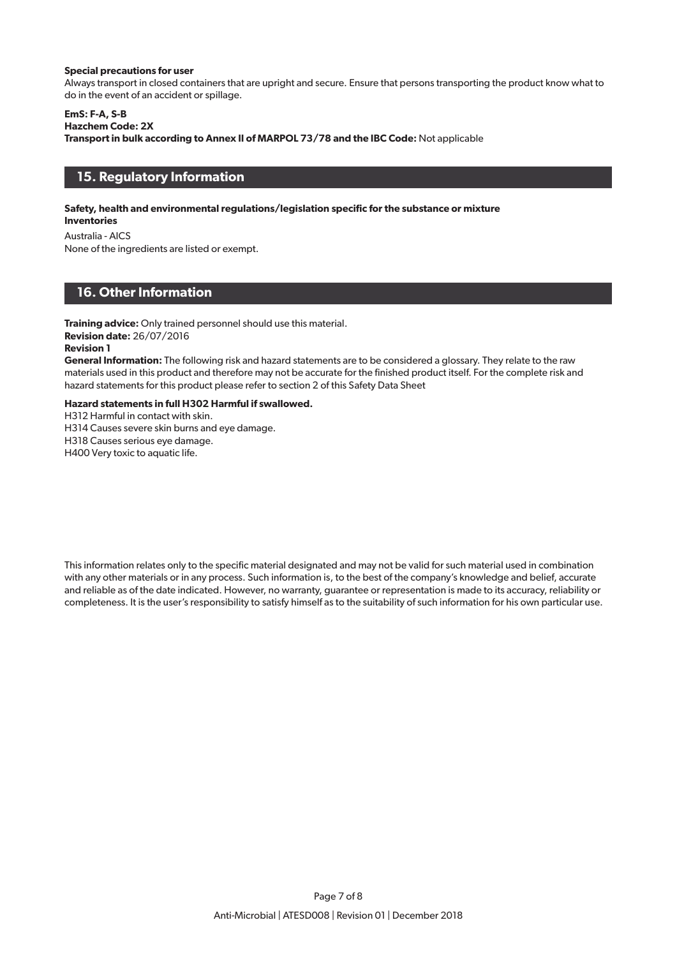#### **Special precautions for user**

Always transport in closed containers that are upright and secure. Ensure that persons transporting the product know what to do in the event of an accident or spillage.

#### **EmS: F-A, S-B**

**Hazchem Code: 2X**

**Transport in bulk according to Annex II of MARPOL 73/78 and the IBC Code:** Not applicable

## **15. Regulatory Information**

### **Safety, health and environmental regulations/legislation specific for the substance or mixture**

**Inventories**

Australia - AICS

None of the ingredients are listed or exempt.

## **16. Other Information**

**Training advice:** Only trained personnel should use this material.

## **Revision date:** 26/07/2016

### **Revision 1**

**General Information:** The following risk and hazard statements are to be considered a glossary. They relate to the raw materials used in this product and therefore may not be accurate for the finished product itself. For the complete risk and hazard statements for this product please refer to section 2 of this Safety Data Sheet

#### **Hazard statements in full H302 Harmful if swallowed.**

H312 Harmful in contact with skin.

H314 Causes severe skin burns and eye damage.

H318 Causes serious eye damage.

H400 Very toxic to aquatic life.

This information relates only to the specific material designated and may not be valid for such material used in combination with any other materials or in any process. Such information is, to the best of the company's knowledge and belief, accurate and reliable as of the date indicated. However, no warranty, guarantee or representation is made to its accuracy, reliability or completeness. It is the user's responsibility to satisfy himself as to the suitability of such information for his own particular use.